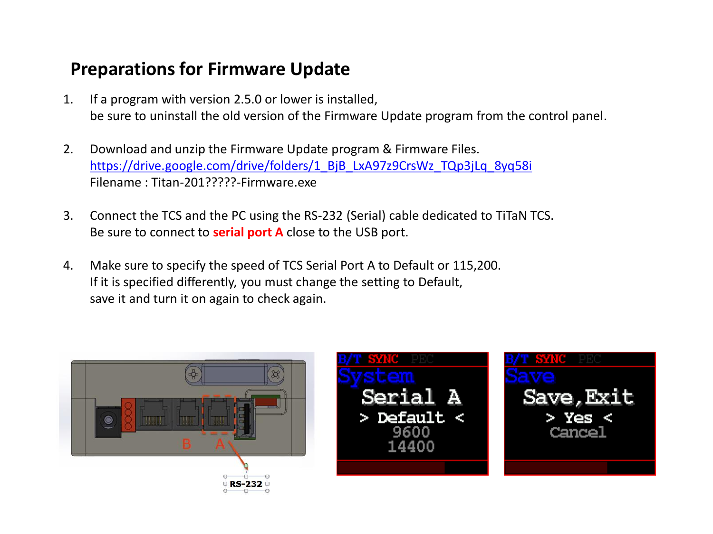#### **Preparations for Firmware Update**

- 1. If a program with version 2.5.0 or lower is installed, be sure to uninstall the old version of the Firmware Update program from the control panel.
- 2. Download and unzip the Firmware Update program & Firmware Files. [https://drive.google.com/drive/folders/1\\_BjB\\_LxA97z9CrsWz\\_TQp3jLq\\_8yq58i](https://drive.google.com/drive/folders/1_BjB_LxA97z9CrsWz_TQp3jLq_8yq58i) Filename : Titan-201?????-Firmware.exe
- 3. Connect the TCS and the PC using the RS-232 (Serial) cable dedicated to TiTaN TCS. Be sure to connect to **serial port A** close to the USB port.
- 4. Make sure to specify the speed of TCS Serial Port A to Default or 115,200. If it is specified differently, you must change the setting to Default, save it and turn it on again to check again.

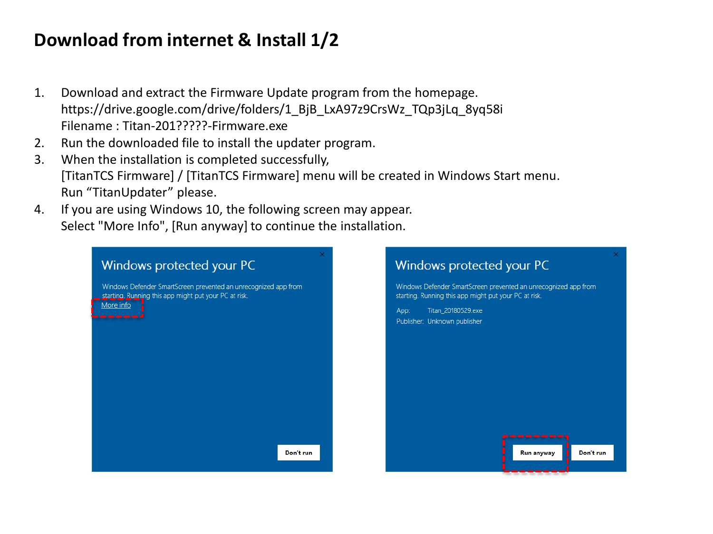## **Download from internet & Install 1/2**

- 1. Download and extract the Firmware Update program from the homepage. https://drive.google.com/drive/folders/1\_BjB\_LxA97z9CrsWz\_TQp3jLq\_8yq58i Filename : Titan-201?????-Firmware.exe
- 2. Run the downloaded file to install the updater program.
- 3. When the installation is completed successfully, [TitanTCS Firmware] / [TitanTCS Firmware] menu will be created in Windows Start menu. Run "TitanUpdater" please.
- 4. If you are using Windows 10, the following screen may appear. Select "More Info", [Run anyway] to continue the installation.

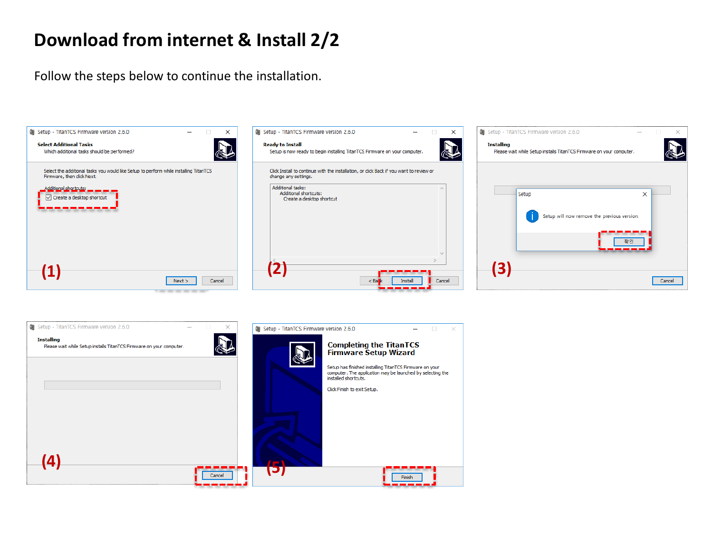#### **Download from internet & Install 2/2**

Follow the steps below to continue the installation.



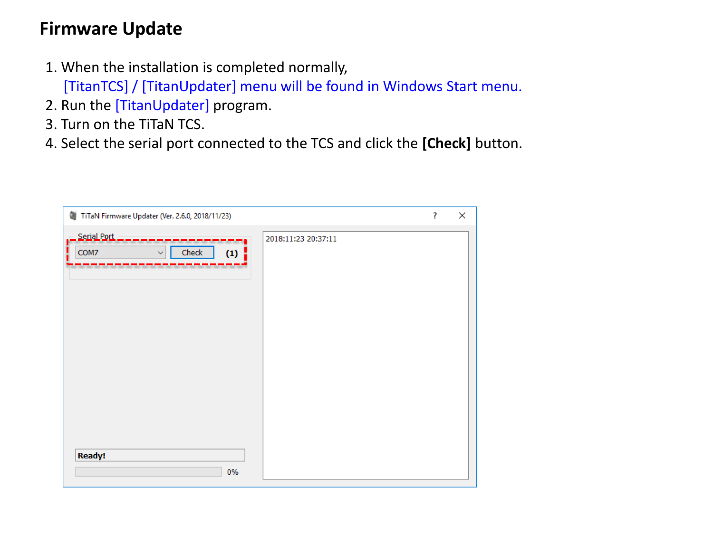#### **Firmware Update**

1. When the installation is completed normally,

[TitanTCS] / [TitanUpdater] menu will be found in Windows Start menu.

- 2. Run the [TitanUpdater] program.
- 3. Turn on the TiTaN TCS.
- 4. Select the serial port connected to the TCS and click the **[Check]** button.

| û.<br>TiTaN Firmware Updater (Ver. 2.6.0, 2018/11/23)   |                     | ? | × |
|---------------------------------------------------------|---------------------|---|---|
| _ Serial Port _<br>COM7<br>Check<br>(1)<br>$\checkmark$ | 2018:11:23 20:37:11 |   |   |
| <b>Ready!</b><br>0%                                     |                     |   |   |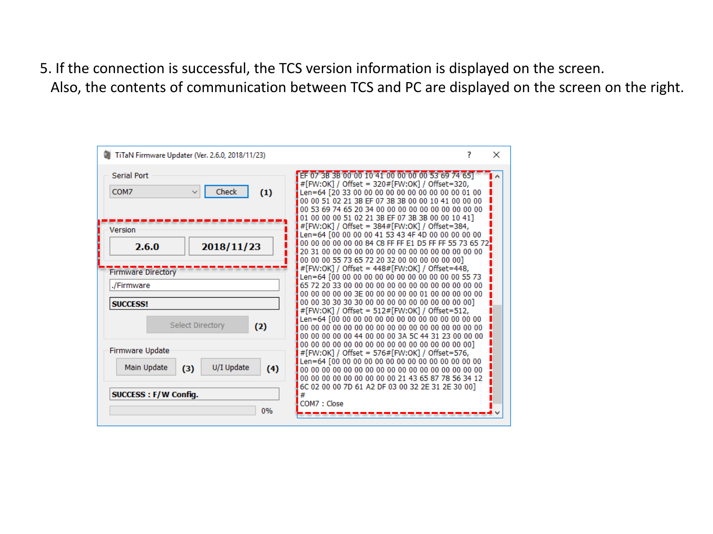5. If the connection is successful, the TCS version information is displayed on the screen. Also, the contents of communication between TCS and PC are displayed on the screen on the right.

| TiTaN Firmware Updater (Ver. 2.6.0, 2018/11/23)                 | $\times$                                                                                                                                                                                                                                                                 |
|-----------------------------------------------------------------|--------------------------------------------------------------------------------------------------------------------------------------------------------------------------------------------------------------------------------------------------------------------------|
| Serial Port<br>Check<br>COM7<br>(1)                             | EF 07 3B 3B 00 00 10 41 00 00 00 00 53 69 74 651<br>#[FW:OK] / Offset = 320#[FW:OK] / Offset=320,<br>Len=64 [20 33 00 00 00 00 00 00 00 00 00 00 00 01 00<br>00 00 51 02 21 3B EF 07 3B 3B 00 00 10 41 00 00 00<br>00 53 69 74 65 20 34 00 00 00 00 00 00 00 00 00 00 00 |
| Version<br>2018/11/23<br>2.6.0                                  | 01 00 00 00 51 02 21 3B EF 07 3B 3B 00 00 10 41]<br>#[FW:OK] / Offset = 384#[FW:OK] / Offset=384,<br>Len=64 [00 00 00 00 41 53 43 4F 4D 00 00 00 00 00<br>00 00 00 00 00 00 84 C8 FF FF E1 D5 FF FF 55 73 65 72<br>00 00 00 55 73 65 72 20 32 00 00 00 00 00 00 01       |
| <b>Firmware Directory</b><br>./Firmware<br><b>SUCCESS!</b>      | #[FW:OK] / Offset = 448#[FW:OK] / Offset=448,<br>Len=64 [00 00 00 00 00 00 00 00 00 00 00 00 55 73<br>00 00 00 00 00 3E 00 00 00 00 00 01 00 00 00 00 00                                                                                                                 |
| Select Directory<br>(2)<br><b>Firmware Update</b>               | #[FW:OK] / Offset = 512#[FW:OK] / Offset=512,<br>00 00 00 00 00 44 00 00 00 3A 5C 44 31 23 00 00 00                                                                                                                                                                      |
| Main Update<br>U/I Update<br>(3)<br>(4)<br>SUCCESS: F/W Config. | #[FW:OK] / Offset = 576#[FW:OK] / Offset=576,<br>00 00 00 00 00 00 00 00 00 21 43 65 87 78 56 34 12<br>6C 02 00 00 7D 61 A2 DF 03 00 32 2E 31 2E 30 00]                                                                                                                  |
| 0%                                                              | COM7: Close                                                                                                                                                                                                                                                              |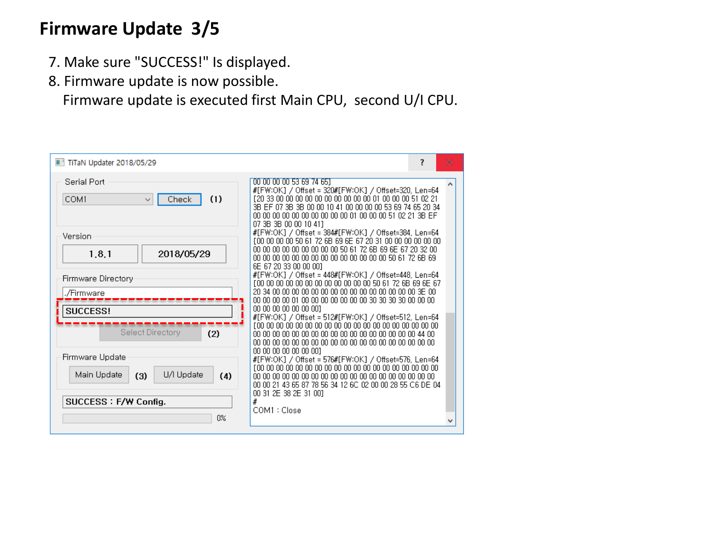#### **Firmware Update 3/5**

- 7. Make sure "SUCCESS!" Is displayed.
- 8. Firmware update is now possible.

Firmware update is executed first Main CPU, second U/I CPU.

| TiTaN Updater 2018/05/29                                                           | 7                                                                                                                                                                                                      | × |
|------------------------------------------------------------------------------------|--------------------------------------------------------------------------------------------------------------------------------------------------------------------------------------------------------|---|
| Serial Port<br>(1)<br>COM1<br>Check                                                | 00 00 00 00 53 69 74 651<br>#[FW:OK] / Offset = 320#[FW:OK] / Offset=320, Len=64<br>3B EF 07 3B 3B 00 00 10 41 00 00 00 00 53 69 74 65 20 34<br>07.3B 3B 00.00.10.411                                  |   |
| Version<br>1.8.1<br>2018/05/29                                                     | #[FW:OK] / Offset = 384#[FW:OK] / Offset=384, Len=64<br>F00 00 00 00 50 61 72 6B 69 6E 67 20 31 00 00 00 00 00 00<br>00 00 00 00 00 00 00 00 00 50 61 72 6B 69 6E 67 20 32 00<br>6E 67 20 33 00 00 001 |   |
| Firmware Directory<br>./Firmware<br>SUCCESS!                                       | #[FW:OK] / Offset = 448#[FW:OK] / Offset=448, Len=64<br>00 00 00 00 00 00 001                                                                                                                          |   |
| Select Directory<br>(2)                                                            | #[FW:OK] / Offset = 512#[FW:OK] / Offset=512, Len=64<br>00 00 00 00 00 00 001                                                                                                                          |   |
| Firmware Update<br>U/I Update<br>Main Update<br>(3)<br>(4)<br>SUCCESS: F/W Config. | #[FW:OK] / Offset = 576#[FW:OK] / Offset=576, Len=64<br>00 00 21 43 65 87 78 56 34 12 6C 02 00 00 28 55 C6 DE 04<br>00 31 2E 38 2E 31 001<br>#                                                         |   |
| 0%                                                                                 | COM1 : Close                                                                                                                                                                                           |   |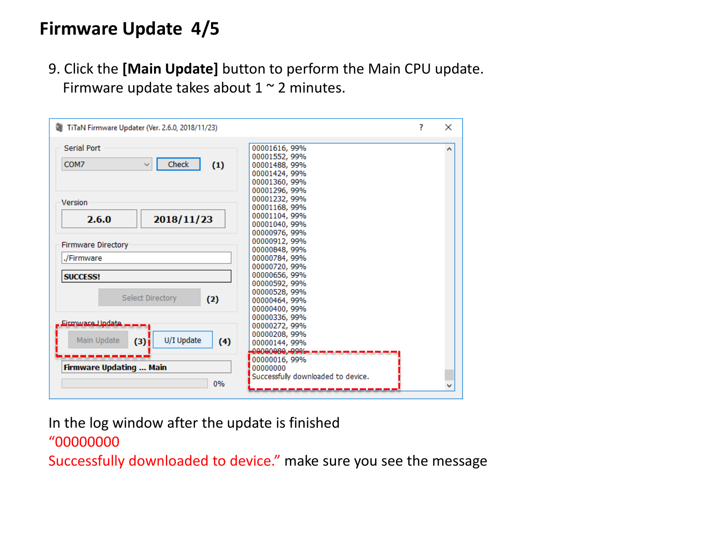## **Firmware Update 4/5**

9. Click the **[Main Update]** button to perform the Main CPU update. Firmware update takes about  $1 \sim 2$  minutes.



In the log window after the update is finished

#### "00000000

Successfully downloaded to device." make sure you see the message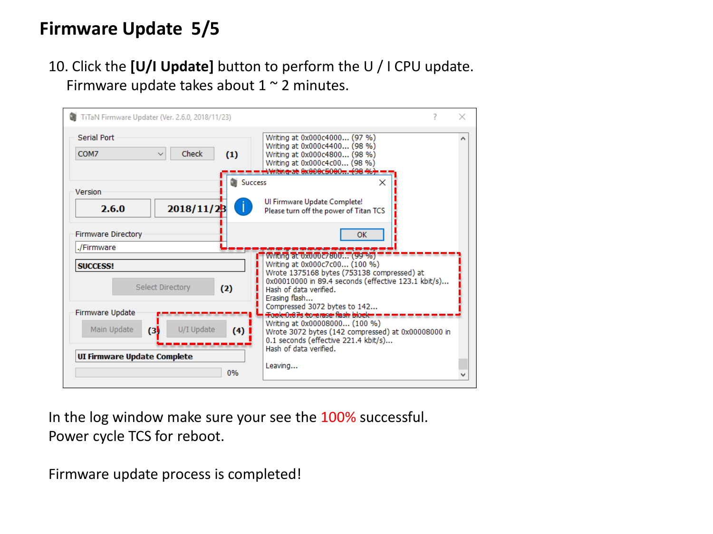## **Firmware Update 5/5**

#### 10. Click the **[U/I Update]** button to perform the U / I CPU update. Firmware update takes about  $1 \sim 2$  minutes.

| TiTaN Firmware Updater (Ver. 2.6.0, 2018/11/23)                                                                        |                                                                                                                                                                                                                                                                                                                                              | x |
|------------------------------------------------------------------------------------------------------------------------|----------------------------------------------------------------------------------------------------------------------------------------------------------------------------------------------------------------------------------------------------------------------------------------------------------------------------------------------|---|
| Serial Port<br>Check<br>COM7<br>(1)                                                                                    | Writing at 0x000c4000 (97 %)<br>Writing at 0x000c4400 (98 %)<br>Writing at 0x000c4800 (98 %)<br>Writing at 0x000c4c00 (98 %)<br><del>Writine at</del> 0x000c5000 <del> (</del> 98.46 <del>).</del>                                                                                                                                           |   |
| <b>Success</b><br>Version<br>$\mathcal{L}$<br>2018/11/23<br>2.6.0                                                      | ×<br>Ul Firmware Update Complete!<br>Please turn off the power of Titan TCS                                                                                                                                                                                                                                                                  |   |
| <b>Firmware Directory</b><br>./Firmware<br><b>SUCCESS!</b><br><b>Select Directory</b><br>(2)<br><b>Firmware Update</b> | <b>OK</b><br>Writing at 0x000 c/800 (99%)<br>Writing at 0x000c7c00 (100 %)<br>Wrote 1375168 bytes (753138 compressed) at<br>0x00010000 in 89.4 seconds (effective 123.1 kbit/s)<br>Hash of data verified.<br>Erasing flash<br>Compressed 3072 bytes to 142<br><del>T</del> ook 0.07s to erase fiash block =<br>Writing at 0x00008000 (100 %) |   |
| U/I Update<br>Main Update<br>$\left(3\right)$<br>$(4)$  <br>UI Firmware Update Complete<br>0%                          | Wrote 3072 bytes (142 compressed) at 0x00008000 in<br>0.1 seconds (effective 221.4 kbit/s)<br>Hash of data verified.<br>Leaving                                                                                                                                                                                                              |   |

In the log window make sure your see the 100% successful. Power cycle TCS for reboot.

Firmware update process is completed!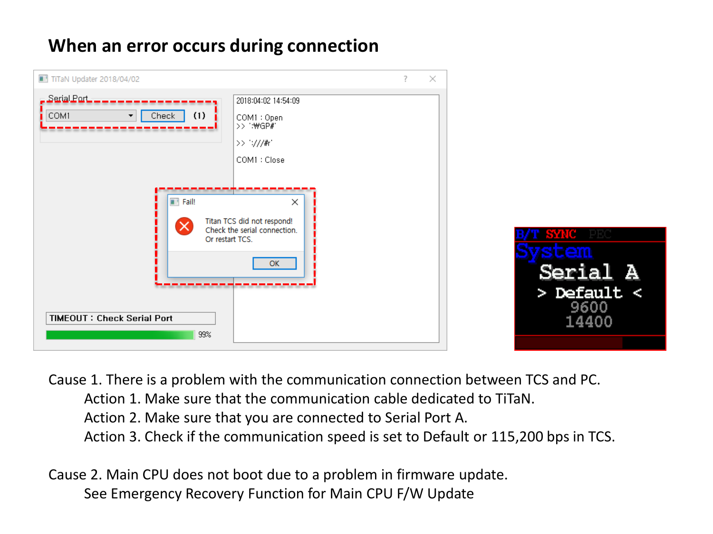## **When an error occurs during connection**



Cause 1. There is a problem with the communication connection between TCS and PC. Action 1. Make sure that the communication cable dedicated to TiTaN. Action 2. Make sure that you are connected to Serial Port A. Action 3. Check if the communication speed is set to Default or 115,200 bps in TCS.

Cause 2. Main CPU does not boot due to a problem in firmware update. See Emergency Recovery Function for Main CPU F/W Update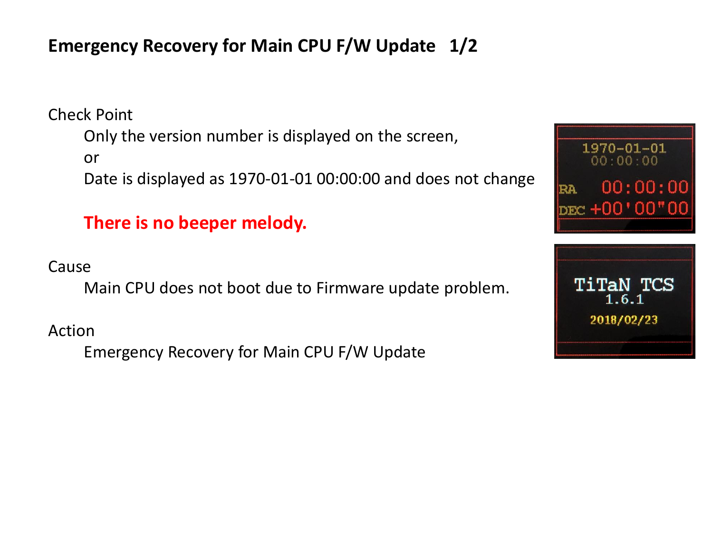# **Emergency Recovery for Main CPU F/W Update 1/2**

Check Point

Only the version number is displayed on the screen,

or

Date is displayed as 1970-01-01 00:00:00 and does not change

#### **There is no beeper melody.**

Cause

Main CPU does not boot due to Firmware update problem.

Action

Emergency Recovery for Main CPU F/W Update